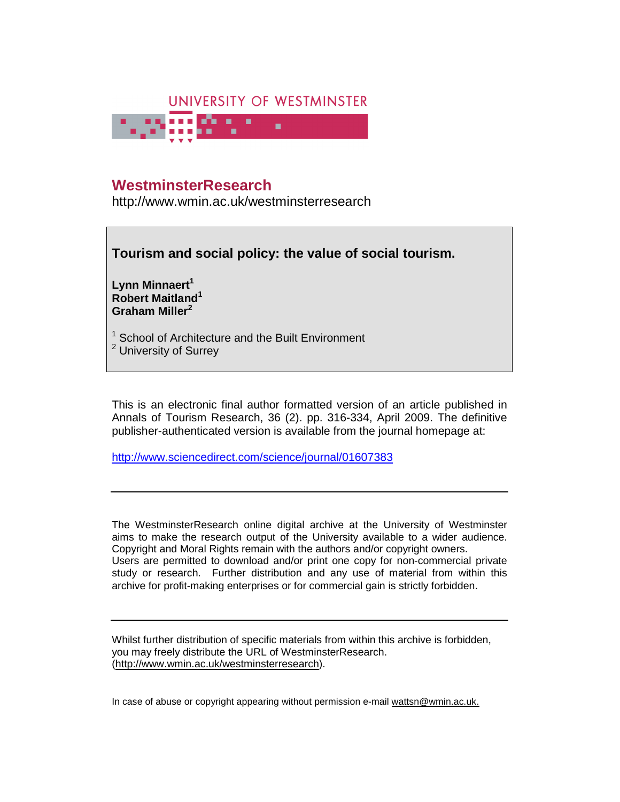

# **WestminsterResearch**

http://www.wmin.ac.uk/westminsterresearch

**Tourism and social policy: the value of social tourism.** 

**Lynn Minnaert<sup>1</sup> Robert Maitland<sup>1</sup> Graham Miller<sup>2</sup>**

<sup>1</sup> School of Architecture and the Built Environment <sup>2</sup> University of Surrey

This is an electronic final author formatted version of an article published in Annals of Tourism Research, 36 (2). pp. 316-334, April 2009. The definitive publisher-authenticated version is available from the journal homepage at:

http://www.sciencedirect.com/science/journal/01607383

The WestminsterResearch online digital archive at the University of Westminster aims to make the research output of the University available to a wider audience. Copyright and Moral Rights remain with the authors and/or copyright owners. Users are permitted to download and/or print one copy for non-commercial private study or research. Further distribution and any use of material from within this archive for profit-making enterprises or for commercial gain is strictly forbidden.

Whilst further distribution of specific materials from within this archive is forbidden, you may freely distribute the URL of WestminsterResearch. (http://www.wmin.ac.uk/westminsterresearch).

In case of abuse or copyright appearing without permission e-mail wattsn@wmin.ac.uk.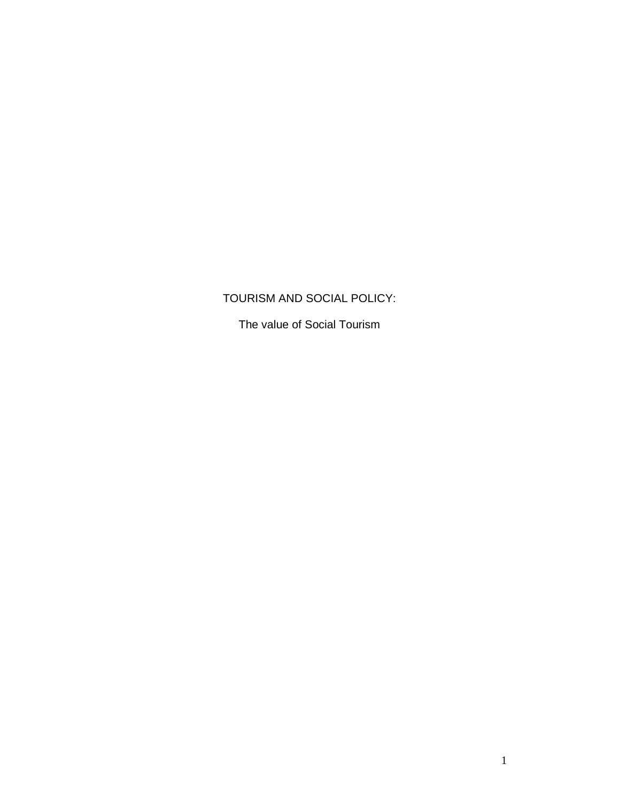# TOURISM AND SOCIAL POLICY:

The value of Social Tourism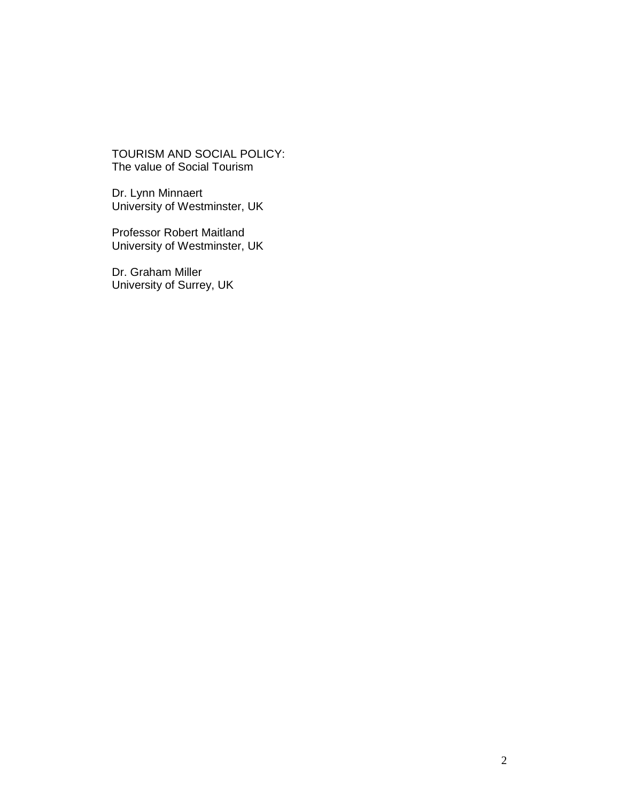TOURISM AND SOCIAL POLICY: The value of Social Tourism

Dr. Lynn Minnaert University of Westminster, UK

Professor Robert Maitland University of Westminster, UK

Dr. Graham Miller University of Surrey, UK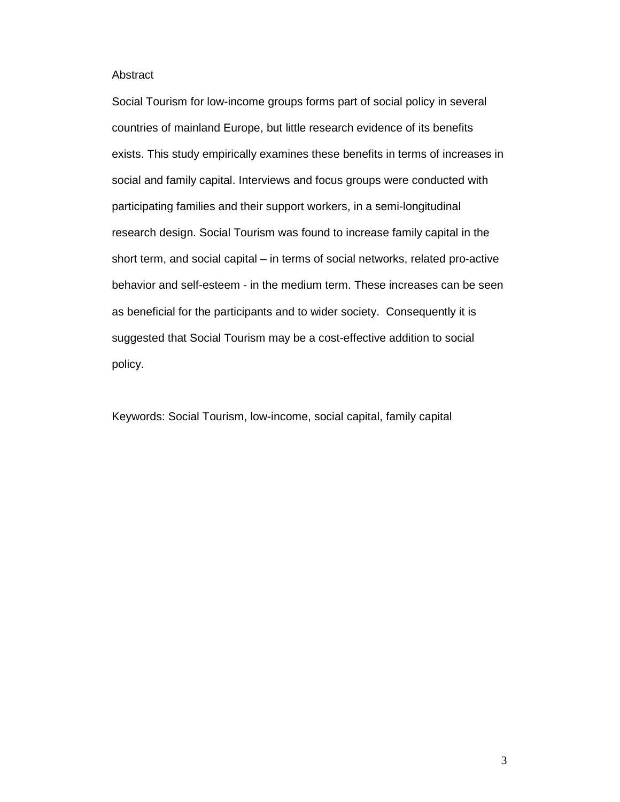# Abstract

Social Tourism for low-income groups forms part of social policy in several countries of mainland Europe, but little research evidence of its benefits exists. This study empirically examines these benefits in terms of increases in social and family capital. Interviews and focus groups were conducted with participating families and their support workers, in a semi-longitudinal research design. Social Tourism was found to increase family capital in the short term, and social capital – in terms of social networks, related pro-active behavior and self-esteem - in the medium term. These increases can be seen as beneficial for the participants and to wider society. Consequently it is suggested that Social Tourism may be a cost-effective addition to social policy.

Keywords: Social Tourism, low-income, social capital, family capital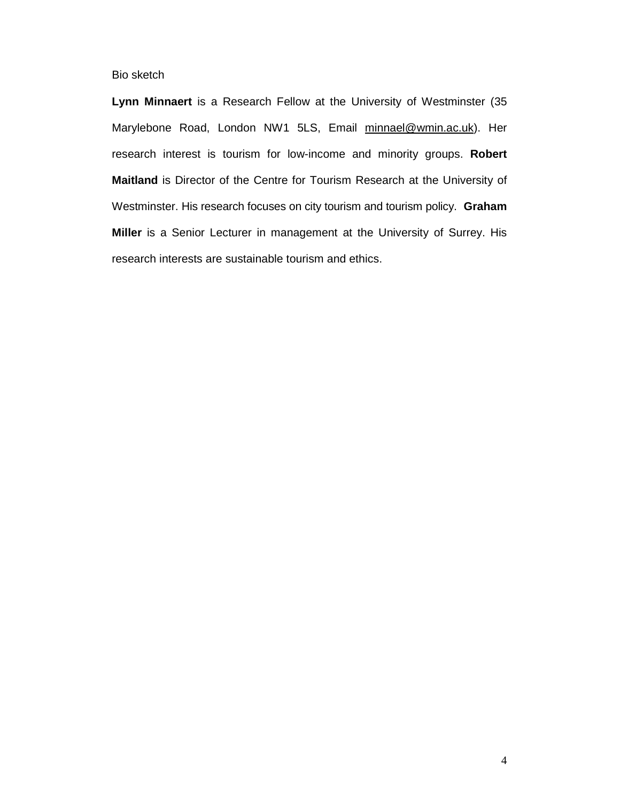Bio sketch

**Lynn Minnaert** is a Research Fellow at the University of Westminster (35 Marylebone Road, London NW1 5LS, Email minnael@wmin.ac.uk). Her research interest is tourism for low-income and minority groups. **Robert Maitland** is Director of the Centre for Tourism Research at the University of Westminster. His research focuses on city tourism and tourism policy. **Graham Miller** is a Senior Lecturer in management at the University of Surrey. His research interests are sustainable tourism and ethics.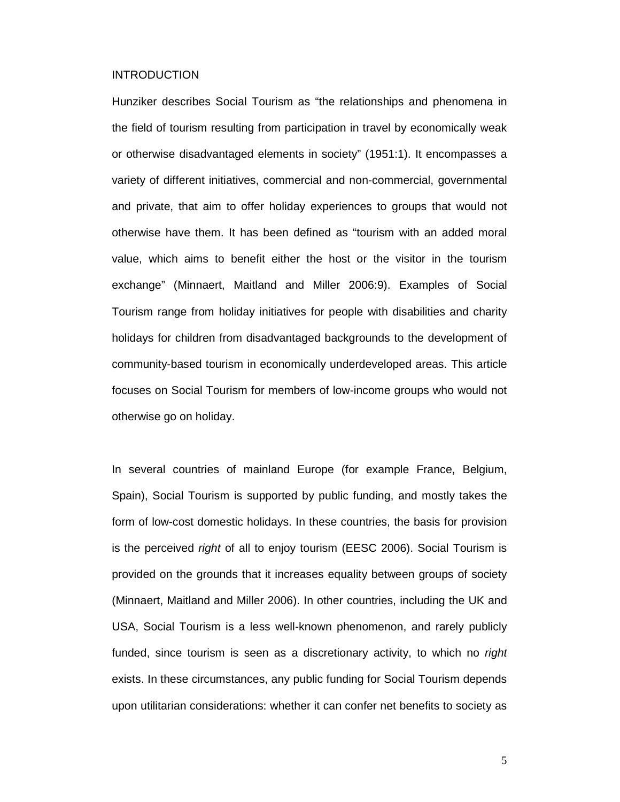## INTRODUCTION

Hunziker describes Social Tourism as "the relationships and phenomena in the field of tourism resulting from participation in travel by economically weak or otherwise disadvantaged elements in society" (1951:1). It encompasses a variety of different initiatives, commercial and non-commercial, governmental and private, that aim to offer holiday experiences to groups that would not otherwise have them. It has been defined as "tourism with an added moral value, which aims to benefit either the host or the visitor in the tourism exchange" (Minnaert, Maitland and Miller 2006:9). Examples of Social Tourism range from holiday initiatives for people with disabilities and charity holidays for children from disadvantaged backgrounds to the development of community-based tourism in economically underdeveloped areas. This article focuses on Social Tourism for members of low-income groups who would not otherwise go on holiday.

In several countries of mainland Europe (for example France, Belgium, Spain), Social Tourism is supported by public funding, and mostly takes the form of low-cost domestic holidays. In these countries, the basis for provision is the perceived *right* of all to enjoy tourism (EESC 2006). Social Tourism is provided on the grounds that it increases equality between groups of society (Minnaert, Maitland and Miller 2006). In other countries, including the UK and USA, Social Tourism is a less well-known phenomenon, and rarely publicly funded, since tourism is seen as a discretionary activity, to which no right exists. In these circumstances, any public funding for Social Tourism depends upon utilitarian considerations: whether it can confer net benefits to society as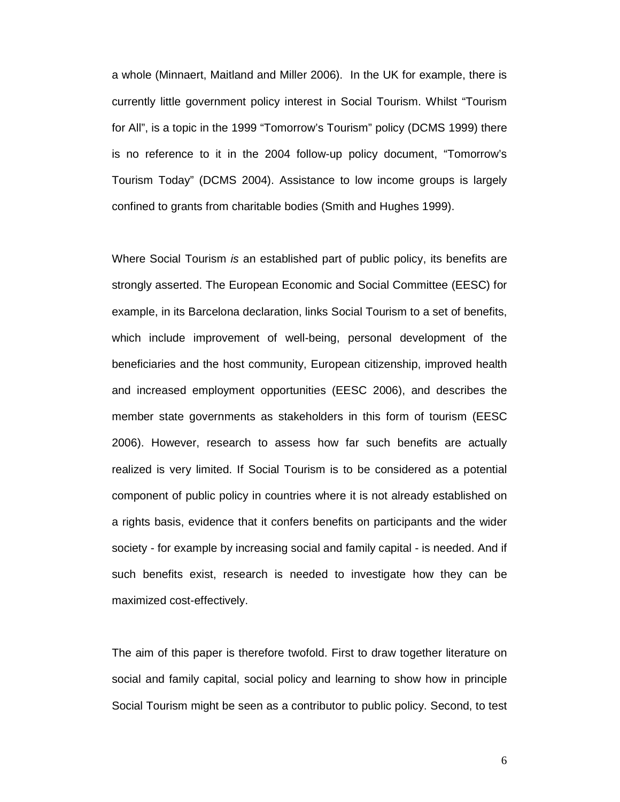a whole (Minnaert, Maitland and Miller 2006). In the UK for example, there is currently little government policy interest in Social Tourism. Whilst "Tourism for All", is a topic in the 1999 "Tomorrow's Tourism" policy (DCMS 1999) there is no reference to it in the 2004 follow-up policy document, "Tomorrow's Tourism Today" (DCMS 2004). Assistance to low income groups is largely confined to grants from charitable bodies (Smith and Hughes 1999).

Where Social Tourism is an established part of public policy, its benefits are strongly asserted. The European Economic and Social Committee (EESC) for example, in its Barcelona declaration, links Social Tourism to a set of benefits, which include improvement of well-being, personal development of the beneficiaries and the host community, European citizenship, improved health and increased employment opportunities (EESC 2006), and describes the member state governments as stakeholders in this form of tourism (EESC 2006). However, research to assess how far such benefits are actually realized is very limited. If Social Tourism is to be considered as a potential component of public policy in countries where it is not already established on a rights basis, evidence that it confers benefits on participants and the wider society - for example by increasing social and family capital - is needed. And if such benefits exist, research is needed to investigate how they can be maximized cost-effectively.

The aim of this paper is therefore twofold. First to draw together literature on social and family capital, social policy and learning to show how in principle Social Tourism might be seen as a contributor to public policy. Second, to test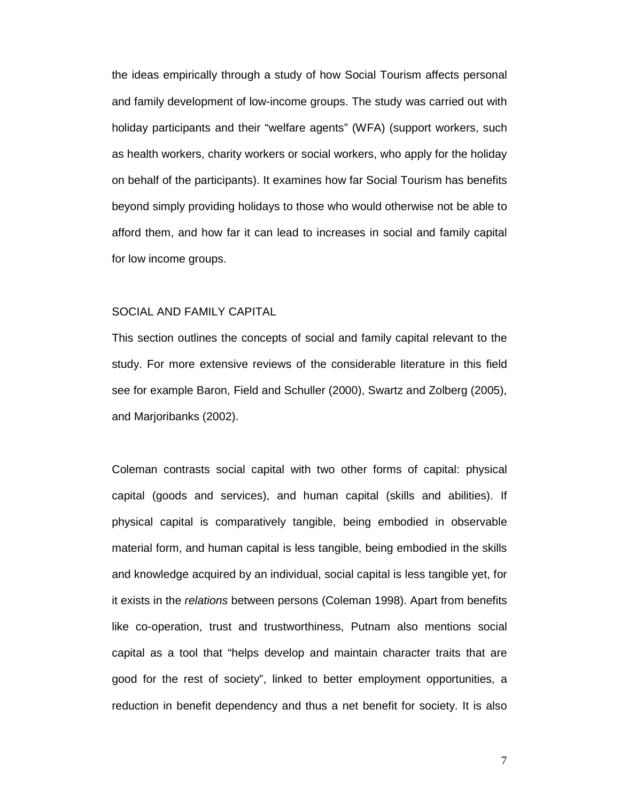the ideas empirically through a study of how Social Tourism affects personal and family development of low-income groups. The study was carried out with holiday participants and their "welfare agents" (WFA) (support workers, such as health workers, charity workers or social workers, who apply for the holiday on behalf of the participants). It examines how far Social Tourism has benefits beyond simply providing holidays to those who would otherwise not be able to afford them, and how far it can lead to increases in social and family capital for low income groups.

# SOCIAL AND FAMILY CAPITAL

This section outlines the concepts of social and family capital relevant to the study. For more extensive reviews of the considerable literature in this field see for example Baron, Field and Schuller (2000), Swartz and Zolberg (2005), and Marjoribanks (2002).

Coleman contrasts social capital with two other forms of capital: physical capital (goods and services), and human capital (skills and abilities). If physical capital is comparatively tangible, being embodied in observable material form, and human capital is less tangible, being embodied in the skills and knowledge acquired by an individual, social capital is less tangible yet, for it exists in the relations between persons (Coleman 1998). Apart from benefits like co-operation, trust and trustworthiness, Putnam also mentions social capital as a tool that "helps develop and maintain character traits that are good for the rest of society", linked to better employment opportunities, a reduction in benefit dependency and thus a net benefit for society. It is also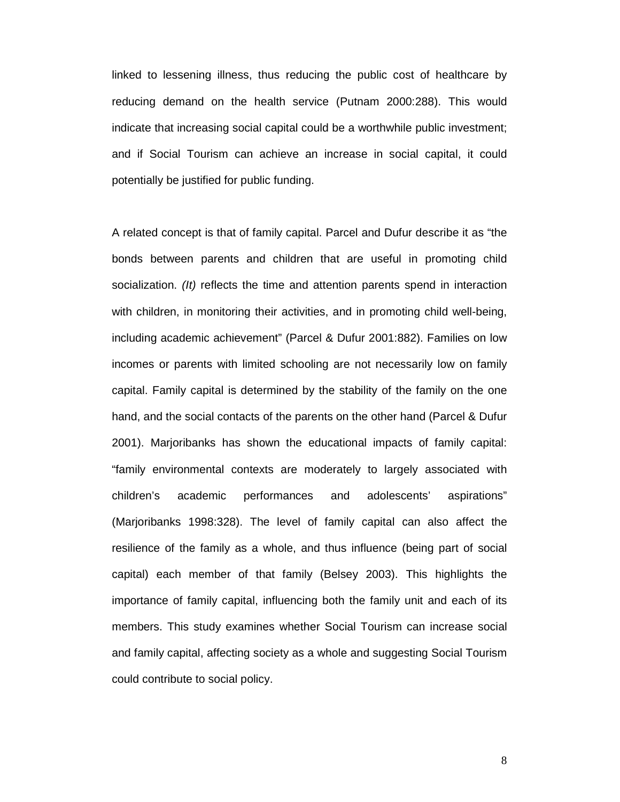linked to lessening illness, thus reducing the public cost of healthcare by reducing demand on the health service (Putnam 2000:288). This would indicate that increasing social capital could be a worthwhile public investment; and if Social Tourism can achieve an increase in social capital, it could potentially be justified for public funding.

A related concept is that of family capital. Parcel and Dufur describe it as "the bonds between parents and children that are useful in promoting child socialization. (It) reflects the time and attention parents spend in interaction with children, in monitoring their activities, and in promoting child well-being, including academic achievement" (Parcel & Dufur 2001:882). Families on low incomes or parents with limited schooling are not necessarily low on family capital. Family capital is determined by the stability of the family on the one hand, and the social contacts of the parents on the other hand (Parcel & Dufur 2001). Marjoribanks has shown the educational impacts of family capital: "family environmental contexts are moderately to largely associated with children's academic performances and adolescents' aspirations" (Marjoribanks 1998:328). The level of family capital can also affect the resilience of the family as a whole, and thus influence (being part of social capital) each member of that family (Belsey 2003). This highlights the importance of family capital, influencing both the family unit and each of its members. This study examines whether Social Tourism can increase social and family capital, affecting society as a whole and suggesting Social Tourism could contribute to social policy.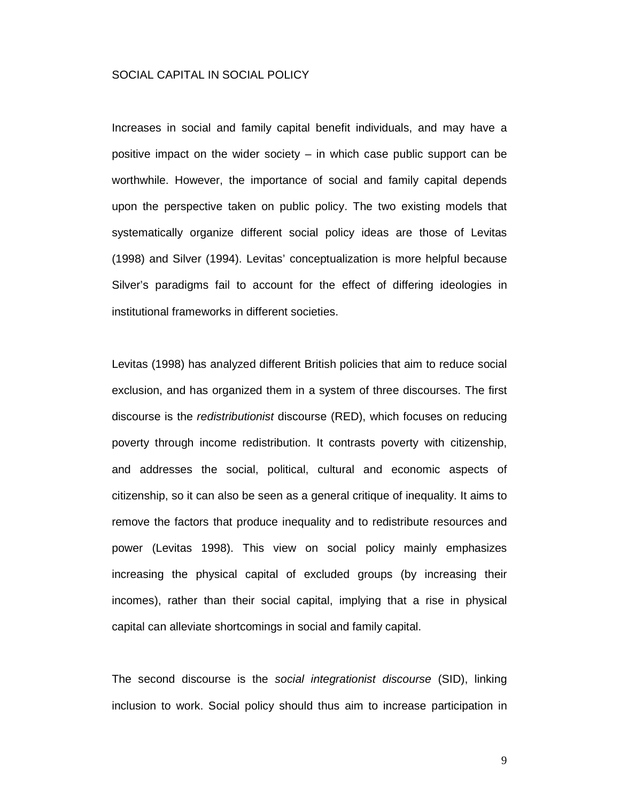# SOCIAL CAPITAL IN SOCIAL POLICY

Increases in social and family capital benefit individuals, and may have a positive impact on the wider society – in which case public support can be worthwhile. However, the importance of social and family capital depends upon the perspective taken on public policy. The two existing models that systematically organize different social policy ideas are those of Levitas (1998) and Silver (1994). Levitas' conceptualization is more helpful because Silver's paradigms fail to account for the effect of differing ideologies in institutional frameworks in different societies.

Levitas (1998) has analyzed different British policies that aim to reduce social exclusion, and has organized them in a system of three discourses. The first discourse is the redistributionist discourse (RED), which focuses on reducing poverty through income redistribution. It contrasts poverty with citizenship, and addresses the social, political, cultural and economic aspects of citizenship, so it can also be seen as a general critique of inequality. It aims to remove the factors that produce inequality and to redistribute resources and power (Levitas 1998). This view on social policy mainly emphasizes increasing the physical capital of excluded groups (by increasing their incomes), rather than their social capital, implying that a rise in physical capital can alleviate shortcomings in social and family capital.

The second discourse is the social integrationist discourse (SID), linking inclusion to work. Social policy should thus aim to increase participation in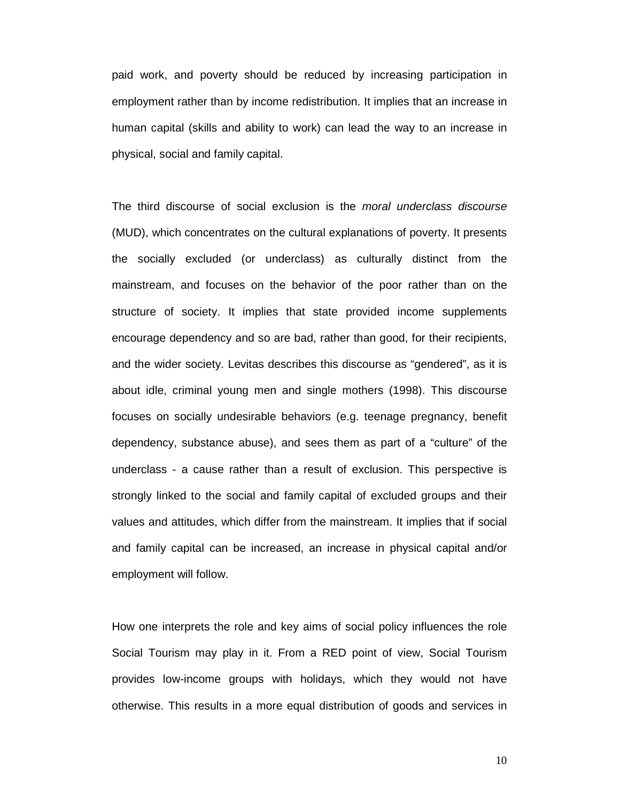paid work, and poverty should be reduced by increasing participation in employment rather than by income redistribution. It implies that an increase in human capital (skills and ability to work) can lead the way to an increase in physical, social and family capital.

The third discourse of social exclusion is the moral underclass discourse (MUD), which concentrates on the cultural explanations of poverty. It presents the socially excluded (or underclass) as culturally distinct from the mainstream, and focuses on the behavior of the poor rather than on the structure of society. It implies that state provided income supplements encourage dependency and so are bad, rather than good, for their recipients, and the wider society. Levitas describes this discourse as "gendered", as it is about idle, criminal young men and single mothers (1998). This discourse focuses on socially undesirable behaviors (e.g. teenage pregnancy, benefit dependency, substance abuse), and sees them as part of a "culture" of the underclass - a cause rather than a result of exclusion. This perspective is strongly linked to the social and family capital of excluded groups and their values and attitudes, which differ from the mainstream. It implies that if social and family capital can be increased, an increase in physical capital and/or employment will follow.

How one interprets the role and key aims of social policy influences the role Social Tourism may play in it. From a RED point of view, Social Tourism provides low-income groups with holidays, which they would not have otherwise. This results in a more equal distribution of goods and services in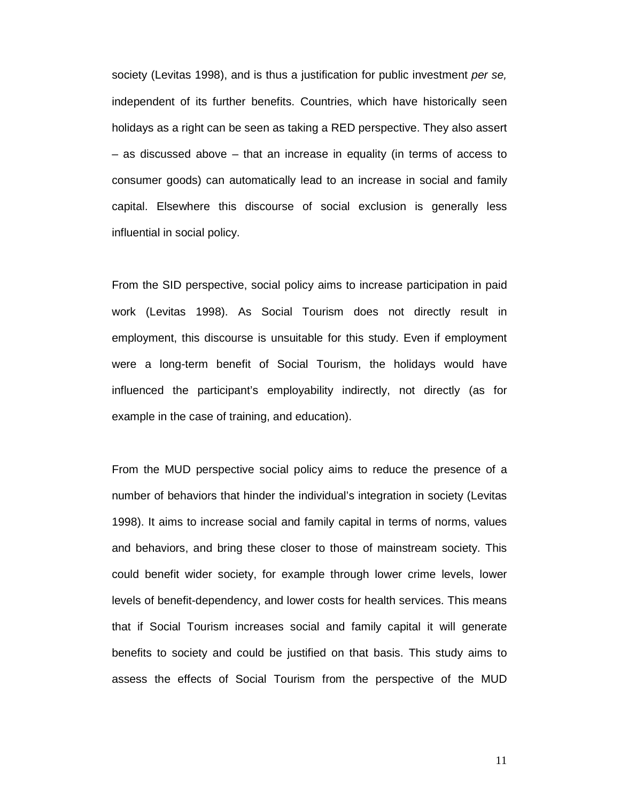society (Levitas 1998), and is thus a justification for public investment per se, independent of its further benefits. Countries, which have historically seen holidays as a right can be seen as taking a RED perspective. They also assert – as discussed above – that an increase in equality (in terms of access to consumer goods) can automatically lead to an increase in social and family capital. Elsewhere this discourse of social exclusion is generally less influential in social policy.

From the SID perspective, social policy aims to increase participation in paid work (Levitas 1998). As Social Tourism does not directly result in employment, this discourse is unsuitable for this study. Even if employment were a long-term benefit of Social Tourism, the holidays would have influenced the participant's employability indirectly, not directly (as for example in the case of training, and education).

From the MUD perspective social policy aims to reduce the presence of a number of behaviors that hinder the individual's integration in society (Levitas 1998). It aims to increase social and family capital in terms of norms, values and behaviors, and bring these closer to those of mainstream society. This could benefit wider society, for example through lower crime levels, lower levels of benefit-dependency, and lower costs for health services. This means that if Social Tourism increases social and family capital it will generate benefits to society and could be justified on that basis. This study aims to assess the effects of Social Tourism from the perspective of the MUD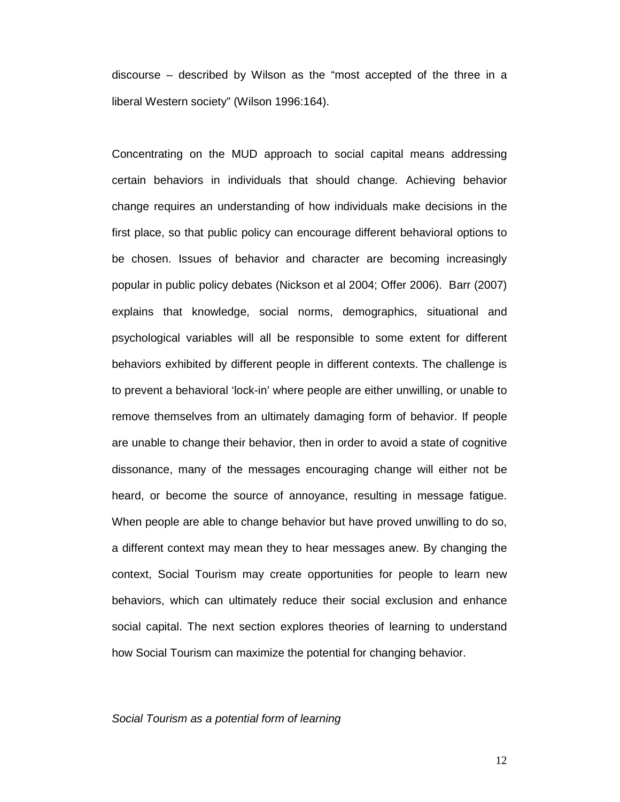discourse – described by Wilson as the "most accepted of the three in a liberal Western society" (Wilson 1996:164).

Concentrating on the MUD approach to social capital means addressing certain behaviors in individuals that should change. Achieving behavior change requires an understanding of how individuals make decisions in the first place, so that public policy can encourage different behavioral options to be chosen. Issues of behavior and character are becoming increasingly popular in public policy debates (Nickson et al 2004; Offer 2006). Barr (2007) explains that knowledge, social norms, demographics, situational and psychological variables will all be responsible to some extent for different behaviors exhibited by different people in different contexts. The challenge is to prevent a behavioral 'lock-in' where people are either unwilling, or unable to remove themselves from an ultimately damaging form of behavior. If people are unable to change their behavior, then in order to avoid a state of cognitive dissonance, many of the messages encouraging change will either not be heard, or become the source of annoyance, resulting in message fatigue. When people are able to change behavior but have proved unwilling to do so, a different context may mean they to hear messages anew. By changing the context, Social Tourism may create opportunities for people to learn new behaviors, which can ultimately reduce their social exclusion and enhance social capital. The next section explores theories of learning to understand how Social Tourism can maximize the potential for changing behavior.

#### Social Tourism as a potential form of learning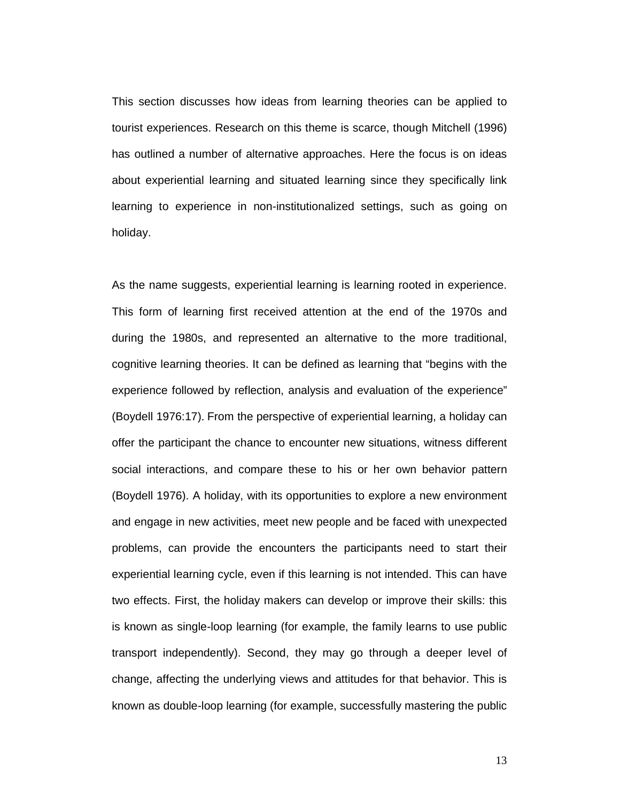This section discusses how ideas from learning theories can be applied to tourist experiences. Research on this theme is scarce, though Mitchell (1996) has outlined a number of alternative approaches. Here the focus is on ideas about experiential learning and situated learning since they specifically link learning to experience in non-institutionalized settings, such as going on holiday.

As the name suggests, experiential learning is learning rooted in experience. This form of learning first received attention at the end of the 1970s and during the 1980s, and represented an alternative to the more traditional, cognitive learning theories. It can be defined as learning that "begins with the experience followed by reflection, analysis and evaluation of the experience" (Boydell 1976:17). From the perspective of experiential learning, a holiday can offer the participant the chance to encounter new situations, witness different social interactions, and compare these to his or her own behavior pattern (Boydell 1976). A holiday, with its opportunities to explore a new environment and engage in new activities, meet new people and be faced with unexpected problems, can provide the encounters the participants need to start their experiential learning cycle, even if this learning is not intended. This can have two effects. First, the holiday makers can develop or improve their skills: this is known as single-loop learning (for example, the family learns to use public transport independently). Second, they may go through a deeper level of change, affecting the underlying views and attitudes for that behavior. This is known as double-loop learning (for example, successfully mastering the public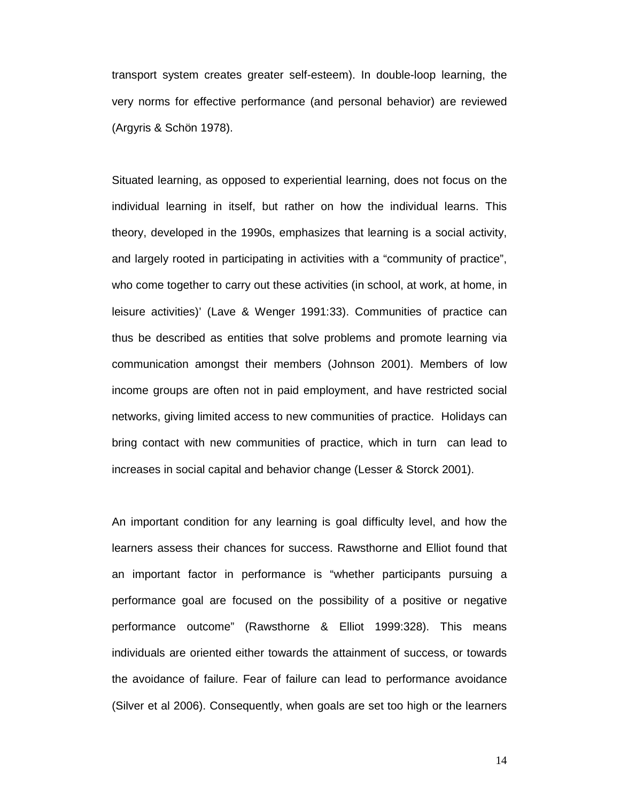transport system creates greater self-esteem). In double-loop learning, the very norms for effective performance (and personal behavior) are reviewed (Argyris & Schön 1978).

Situated learning, as opposed to experiential learning, does not focus on the individual learning in itself, but rather on how the individual learns. This theory, developed in the 1990s, emphasizes that learning is a social activity, and largely rooted in participating in activities with a "community of practice", who come together to carry out these activities (in school, at work, at home, in leisure activities)' (Lave & Wenger 1991:33). Communities of practice can thus be described as entities that solve problems and promote learning via communication amongst their members (Johnson 2001). Members of low income groups are often not in paid employment, and have restricted social networks, giving limited access to new communities of practice. Holidays can bring contact with new communities of practice, which in turn can lead to increases in social capital and behavior change (Lesser & Storck 2001).

An important condition for any learning is goal difficulty level, and how the learners assess their chances for success. Rawsthorne and Elliot found that an important factor in performance is "whether participants pursuing a performance goal are focused on the possibility of a positive or negative performance outcome" (Rawsthorne & Elliot 1999:328). This means individuals are oriented either towards the attainment of success, or towards the avoidance of failure. Fear of failure can lead to performance avoidance (Silver et al 2006). Consequently, when goals are set too high or the learners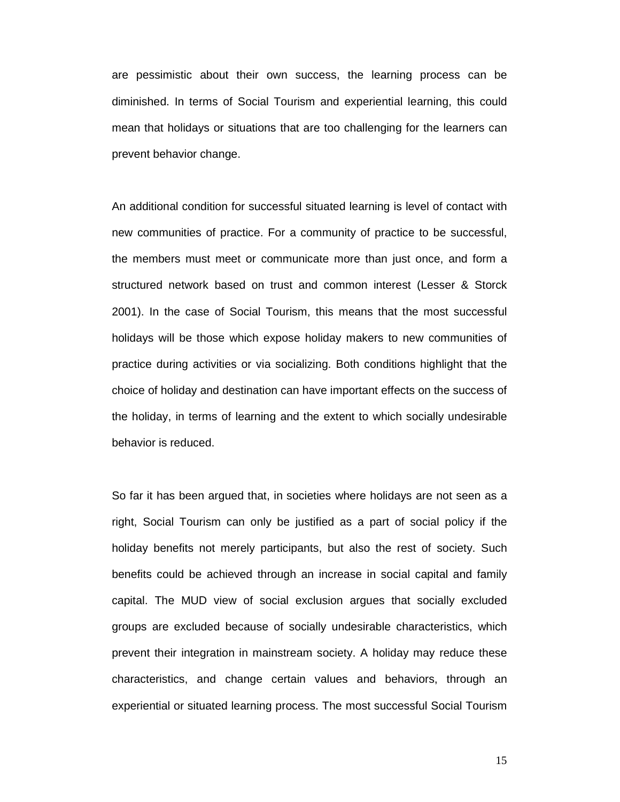are pessimistic about their own success, the learning process can be diminished. In terms of Social Tourism and experiential learning, this could mean that holidays or situations that are too challenging for the learners can prevent behavior change.

An additional condition for successful situated learning is level of contact with new communities of practice. For a community of practice to be successful, the members must meet or communicate more than just once, and form a structured network based on trust and common interest (Lesser & Storck 2001). In the case of Social Tourism, this means that the most successful holidays will be those which expose holiday makers to new communities of practice during activities or via socializing. Both conditions highlight that the choice of holiday and destination can have important effects on the success of the holiday, in terms of learning and the extent to which socially undesirable behavior is reduced.

So far it has been argued that, in societies where holidays are not seen as a right, Social Tourism can only be justified as a part of social policy if the holiday benefits not merely participants, but also the rest of society. Such benefits could be achieved through an increase in social capital and family capital. The MUD view of social exclusion argues that socially excluded groups are excluded because of socially undesirable characteristics, which prevent their integration in mainstream society. A holiday may reduce these characteristics, and change certain values and behaviors, through an experiential or situated learning process. The most successful Social Tourism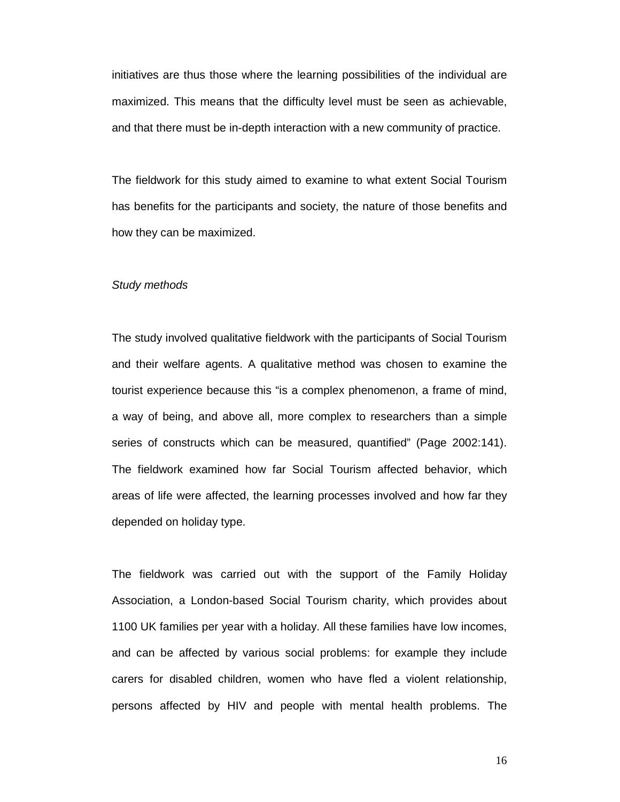initiatives are thus those where the learning possibilities of the individual are maximized. This means that the difficulty level must be seen as achievable, and that there must be in-depth interaction with a new community of practice.

The fieldwork for this study aimed to examine to what extent Social Tourism has benefits for the participants and society, the nature of those benefits and how they can be maximized.

#### Study methods

The study involved qualitative fieldwork with the participants of Social Tourism and their welfare agents. A qualitative method was chosen to examine the tourist experience because this "is a complex phenomenon, a frame of mind, a way of being, and above all, more complex to researchers than a simple series of constructs which can be measured, quantified" (Page 2002:141). The fieldwork examined how far Social Tourism affected behavior, which areas of life were affected, the learning processes involved and how far they depended on holiday type.

The fieldwork was carried out with the support of the Family Holiday Association, a London-based Social Tourism charity, which provides about 1100 UK families per year with a holiday. All these families have low incomes, and can be affected by various social problems: for example they include carers for disabled children, women who have fled a violent relationship, persons affected by HIV and people with mental health problems. The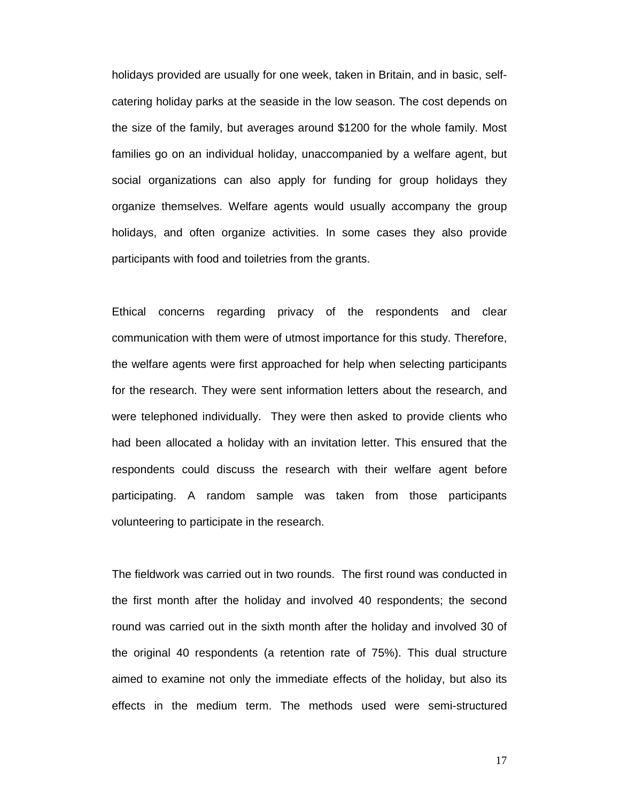holidays provided are usually for one week, taken in Britain, and in basic, selfcatering holiday parks at the seaside in the low season. The cost depends on the size of the family, but averages around \$1200 for the whole family. Most families go on an individual holiday, unaccompanied by a welfare agent, but social organizations can also apply for funding for group holidays they organize themselves. Welfare agents would usually accompany the group holidays, and often organize activities. In some cases they also provide participants with food and toiletries from the grants.

Ethical concerns regarding privacy of the respondents and clear communication with them were of utmost importance for this study. Therefore, the welfare agents were first approached for help when selecting participants for the research. They were sent information letters about the research, and were telephoned individually. They were then asked to provide clients who had been allocated a holiday with an invitation letter. This ensured that the respondents could discuss the research with their welfare agent before participating. A random sample was taken from those participants volunteering to participate in the research.

The fieldwork was carried out in two rounds. The first round was conducted in the first month after the holiday and involved 40 respondents; the second round was carried out in the sixth month after the holiday and involved 30 of the original 40 respondents (a retention rate of 75%). This dual structure aimed to examine not only the immediate effects of the holiday, but also its effects in the medium term. The methods used were semi-structured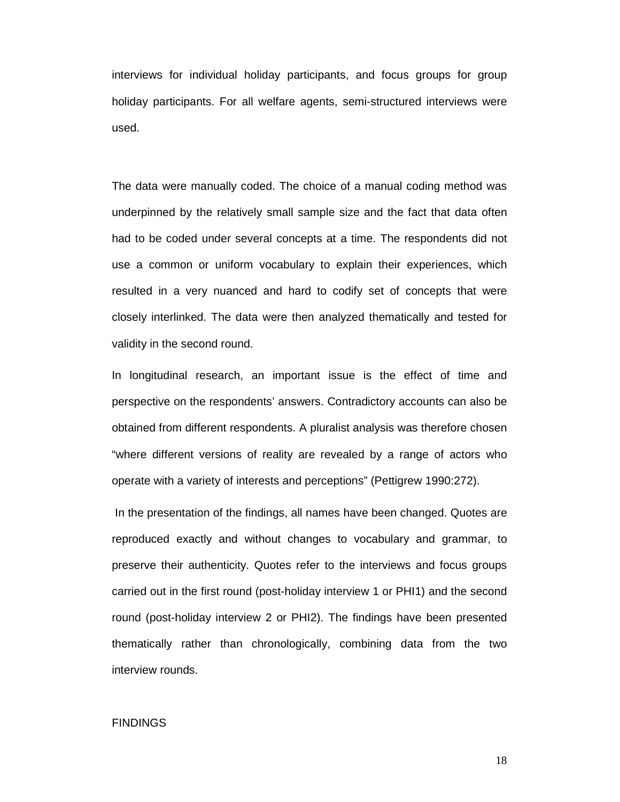interviews for individual holiday participants, and focus groups for group holiday participants. For all welfare agents, semi-structured interviews were used.

The data were manually coded. The choice of a manual coding method was underpinned by the relatively small sample size and the fact that data often had to be coded under several concepts at a time. The respondents did not use a common or uniform vocabulary to explain their experiences, which resulted in a very nuanced and hard to codify set of concepts that were closely interlinked. The data were then analyzed thematically and tested for validity in the second round.

In longitudinal research, an important issue is the effect of time and perspective on the respondents' answers. Contradictory accounts can also be obtained from different respondents. A pluralist analysis was therefore chosen "where different versions of reality are revealed by a range of actors who operate with a variety of interests and perceptions" (Pettigrew 1990:272).

 In the presentation of the findings, all names have been changed. Quotes are reproduced exactly and without changes to vocabulary and grammar, to preserve their authenticity. Quotes refer to the interviews and focus groups carried out in the first round (post-holiday interview 1 or PHI1) and the second round (post-holiday interview 2 or PHI2). The findings have been presented thematically rather than chronologically, combining data from the two interview rounds.

# FINDINGS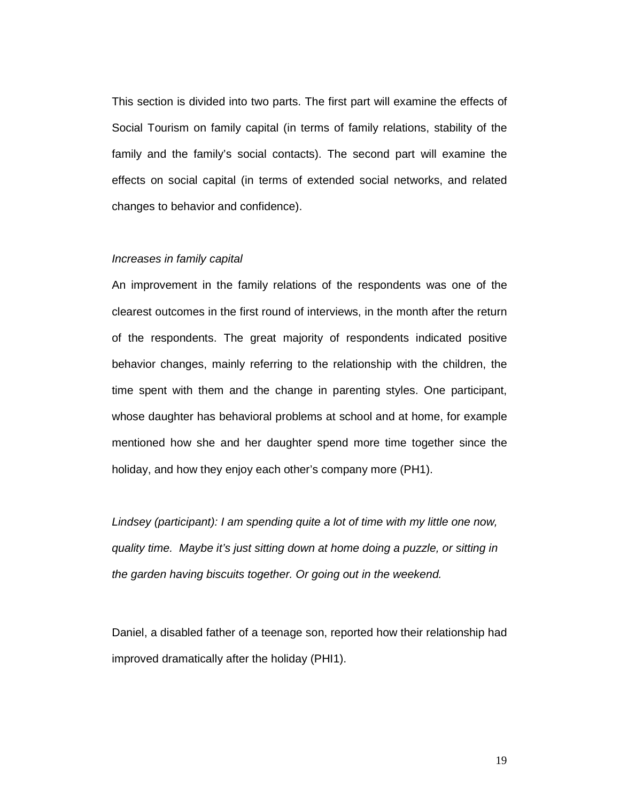This section is divided into two parts. The first part will examine the effects of Social Tourism on family capital (in terms of family relations, stability of the family and the family's social contacts). The second part will examine the effects on social capital (in terms of extended social networks, and related changes to behavior and confidence).

### Increases in family capital

An improvement in the family relations of the respondents was one of the clearest outcomes in the first round of interviews, in the month after the return of the respondents. The great majority of respondents indicated positive behavior changes, mainly referring to the relationship with the children, the time spent with them and the change in parenting styles. One participant, whose daughter has behavioral problems at school and at home, for example mentioned how she and her daughter spend more time together since the holiday, and how they enjoy each other's company more (PH1).

Lindsey (participant): I am spending quite a lot of time with my little one now, quality time. Maybe it's just sitting down at home doing a puzzle, or sitting in the garden having biscuits together. Or going out in the weekend.

Daniel, a disabled father of a teenage son, reported how their relationship had improved dramatically after the holiday (PHI1).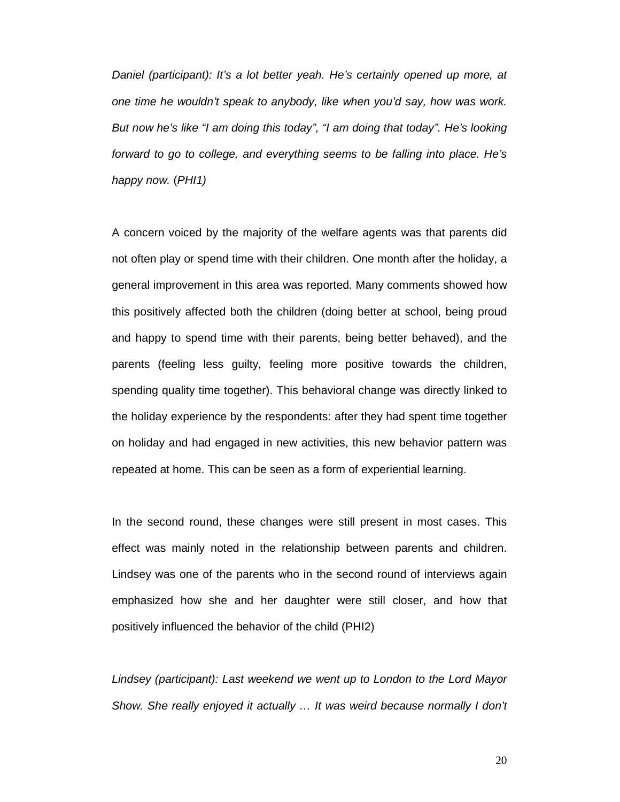Daniel (participant): It's a lot better yeah. He's certainly opened up more, at one time he wouldn't speak to anybody, like when you'd say, how was work. But now he's like "I am doing this today", "I am doing that today". He's looking forward to go to college, and everything seems to be falling into place. He's happy now. (PHI1)

A concern voiced by the majority of the welfare agents was that parents did not often play or spend time with their children. One month after the holiday, a general improvement in this area was reported. Many comments showed how this positively affected both the children (doing better at school, being proud and happy to spend time with their parents, being better behaved), and the parents (feeling less guilty, feeling more positive towards the children, spending quality time together). This behavioral change was directly linked to the holiday experience by the respondents: after they had spent time together on holiday and had engaged in new activities, this new behavior pattern was repeated at home. This can be seen as a form of experiential learning.

In the second round, these changes were still present in most cases. This effect was mainly noted in the relationship between parents and children. Lindsey was one of the parents who in the second round of interviews again emphasized how she and her daughter were still closer, and how that positively influenced the behavior of the child (PHI2)

Lindsey (participant): Last weekend we went up to London to the Lord Mayor Show. She really enjoyed it actually … It was weird because normally I don't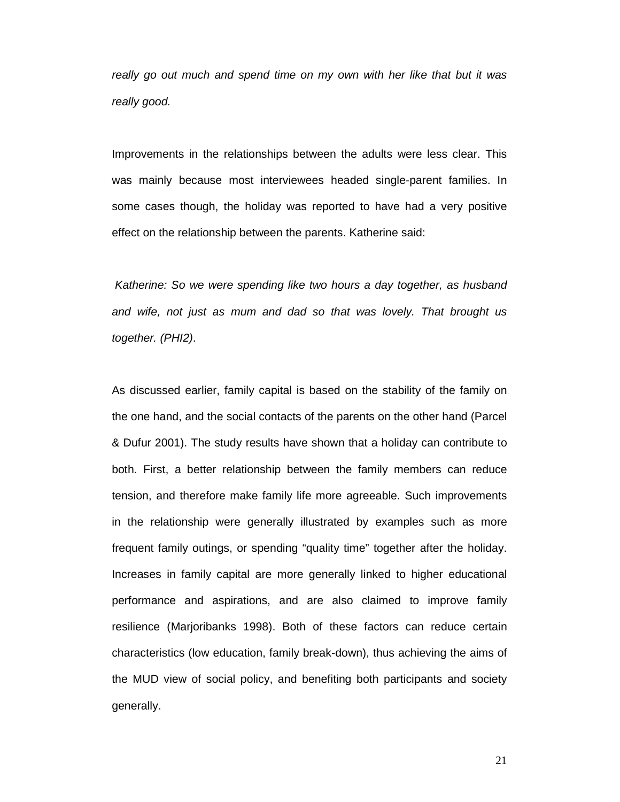really go out much and spend time on my own with her like that but it was really good.

Improvements in the relationships between the adults were less clear. This was mainly because most interviewees headed single-parent families. In some cases though, the holiday was reported to have had a very positive effect on the relationship between the parents. Katherine said:

Katherine: So we were spending like two hours a day together, as husband and wife, not just as mum and dad so that was lovely. That brought us together. (PHI2).

As discussed earlier, family capital is based on the stability of the family on the one hand, and the social contacts of the parents on the other hand (Parcel & Dufur 2001). The study results have shown that a holiday can contribute to both. First, a better relationship between the family members can reduce tension, and therefore make family life more agreeable. Such improvements in the relationship were generally illustrated by examples such as more frequent family outings, or spending "quality time" together after the holiday. Increases in family capital are more generally linked to higher educational performance and aspirations, and are also claimed to improve family resilience (Marjoribanks 1998). Both of these factors can reduce certain characteristics (low education, family break-down), thus achieving the aims of the MUD view of social policy, and benefiting both participants and society generally.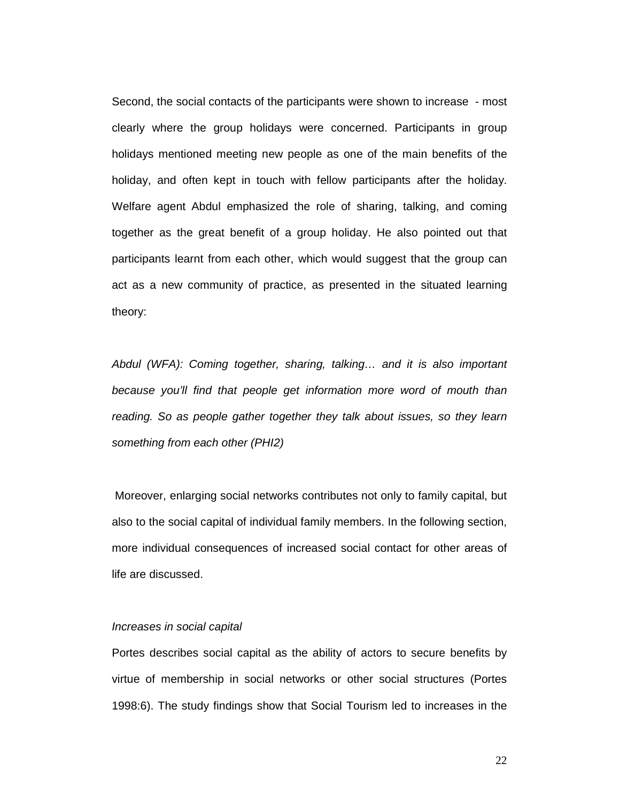Second, the social contacts of the participants were shown to increase - most clearly where the group holidays were concerned. Participants in group holidays mentioned meeting new people as one of the main benefits of the holiday, and often kept in touch with fellow participants after the holiday. Welfare agent Abdul emphasized the role of sharing, talking, and coming together as the great benefit of a group holiday. He also pointed out that participants learnt from each other, which would suggest that the group can act as a new community of practice, as presented in the situated learning theory:

Abdul (WFA): Coming together, sharing, talking… and it is also important because you'll find that people get information more word of mouth than reading. So as people gather together they talk about issues, so they learn something from each other (PHI2)

 Moreover, enlarging social networks contributes not only to family capital, but also to the social capital of individual family members. In the following section, more individual consequences of increased social contact for other areas of life are discussed.

#### Increases in social capital

Portes describes social capital as the ability of actors to secure benefits by virtue of membership in social networks or other social structures (Portes 1998:6). The study findings show that Social Tourism led to increases in the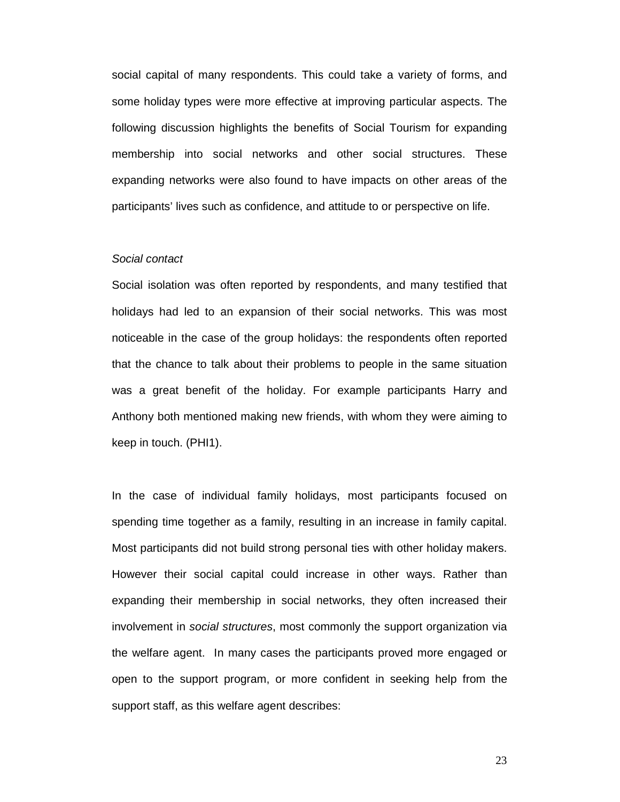social capital of many respondents. This could take a variety of forms, and some holiday types were more effective at improving particular aspects. The following discussion highlights the benefits of Social Tourism for expanding membership into social networks and other social structures. These expanding networks were also found to have impacts on other areas of the participants' lives such as confidence, and attitude to or perspective on life.

#### Social contact

Social isolation was often reported by respondents, and many testified that holidays had led to an expansion of their social networks. This was most noticeable in the case of the group holidays: the respondents often reported that the chance to talk about their problems to people in the same situation was a great benefit of the holiday. For example participants Harry and Anthony both mentioned making new friends, with whom they were aiming to keep in touch. (PHI1).

In the case of individual family holidays, most participants focused on spending time together as a family, resulting in an increase in family capital. Most participants did not build strong personal ties with other holiday makers. However their social capital could increase in other ways. Rather than expanding their membership in social networks, they often increased their involvement in social structures, most commonly the support organization via the welfare agent. In many cases the participants proved more engaged or open to the support program, or more confident in seeking help from the support staff, as this welfare agent describes: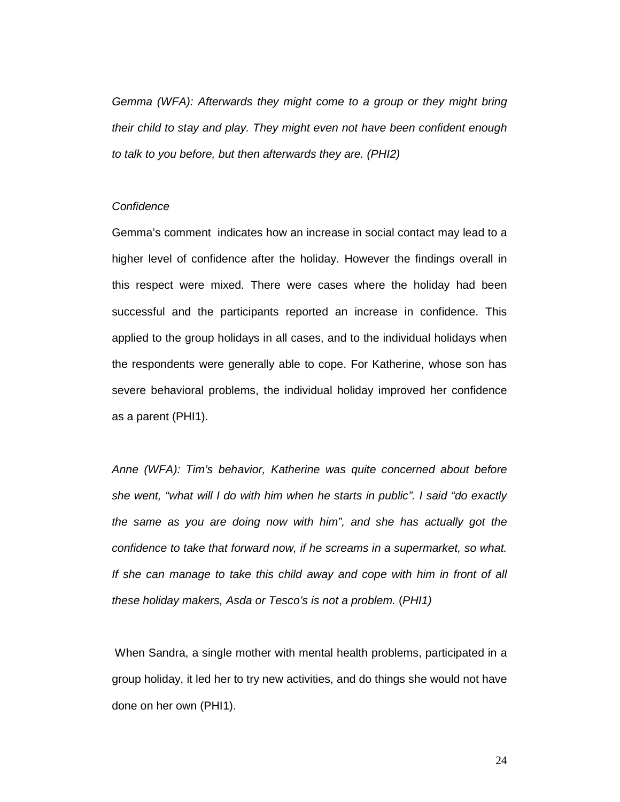Gemma (WFA): Afterwards they might come to a group or they might bring their child to stay and play. They might even not have been confident enough to talk to you before, but then afterwards they are. (PHI2)

# **Confidence**

Gemma's comment indicates how an increase in social contact may lead to a higher level of confidence after the holiday. However the findings overall in this respect were mixed. There were cases where the holiday had been successful and the participants reported an increase in confidence. This applied to the group holidays in all cases, and to the individual holidays when the respondents were generally able to cope. For Katherine, whose son has severe behavioral problems, the individual holiday improved her confidence as a parent (PHI1).

Anne (WFA): Tim's behavior, Katherine was quite concerned about before she went, "what will I do with him when he starts in public". I said "do exactly the same as you are doing now with him", and she has actually got the confidence to take that forward now, if he screams in a supermarket, so what. If she can manage to take this child away and cope with him in front of all these holiday makers, Asda or Tesco's is not a problem. (PHI1)

 When Sandra, a single mother with mental health problems, participated in a group holiday, it led her to try new activities, and do things she would not have done on her own (PHI1).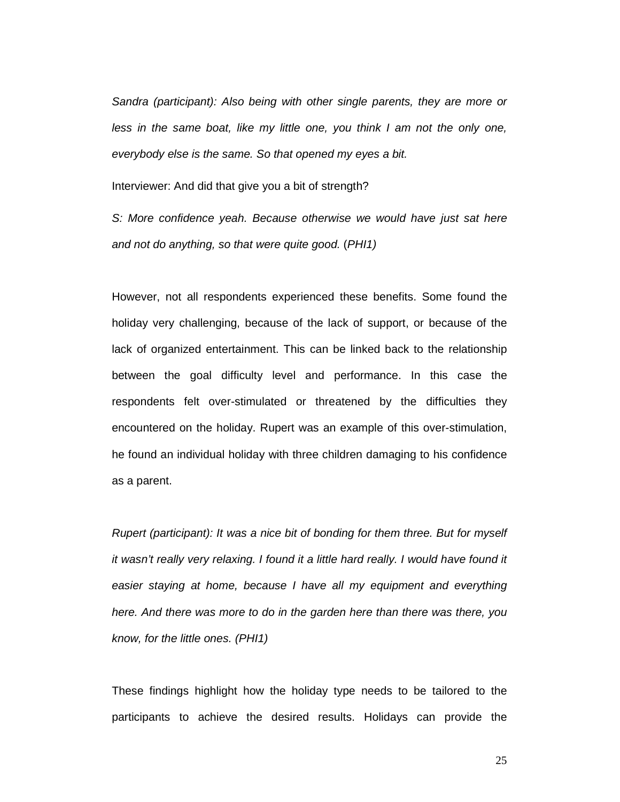Sandra (participant): Also being with other single parents, they are more or less in the same boat, like my little one, you think I am not the only one, everybody else is the same. So that opened my eyes a bit.

Interviewer: And did that give you a bit of strength?

S: More confidence yeah. Because otherwise we would have just sat here and not do anything, so that were quite good. (PHI1)

However, not all respondents experienced these benefits. Some found the holiday very challenging, because of the lack of support, or because of the lack of organized entertainment. This can be linked back to the relationship between the goal difficulty level and performance. In this case the respondents felt over-stimulated or threatened by the difficulties they encountered on the holiday. Rupert was an example of this over-stimulation, he found an individual holiday with three children damaging to his confidence as a parent.

Rupert (participant): It was a nice bit of bonding for them three. But for myself it wasn't really very relaxing. I found it a little hard really. I would have found it easier staying at home, because I have all my equipment and everything here. And there was more to do in the garden here than there was there, you know, for the little ones. (PHI1)

These findings highlight how the holiday type needs to be tailored to the participants to achieve the desired results. Holidays can provide the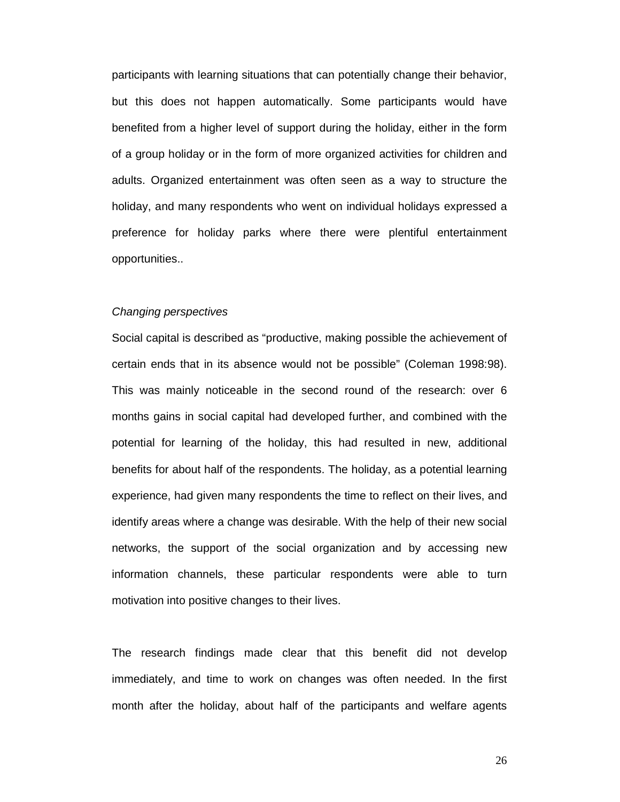participants with learning situations that can potentially change their behavior, but this does not happen automatically. Some participants would have benefited from a higher level of support during the holiday, either in the form of a group holiday or in the form of more organized activities for children and adults. Organized entertainment was often seen as a way to structure the holiday, and many respondents who went on individual holidays expressed a preference for holiday parks where there were plentiful entertainment opportunities..

#### Changing perspectives

Social capital is described as "productive, making possible the achievement of certain ends that in its absence would not be possible" (Coleman 1998:98). This was mainly noticeable in the second round of the research: over 6 months gains in social capital had developed further, and combined with the potential for learning of the holiday, this had resulted in new, additional benefits for about half of the respondents. The holiday, as a potential learning experience, had given many respondents the time to reflect on their lives, and identify areas where a change was desirable. With the help of their new social networks, the support of the social organization and by accessing new information channels, these particular respondents were able to turn motivation into positive changes to their lives.

The research findings made clear that this benefit did not develop immediately, and time to work on changes was often needed. In the first month after the holiday, about half of the participants and welfare agents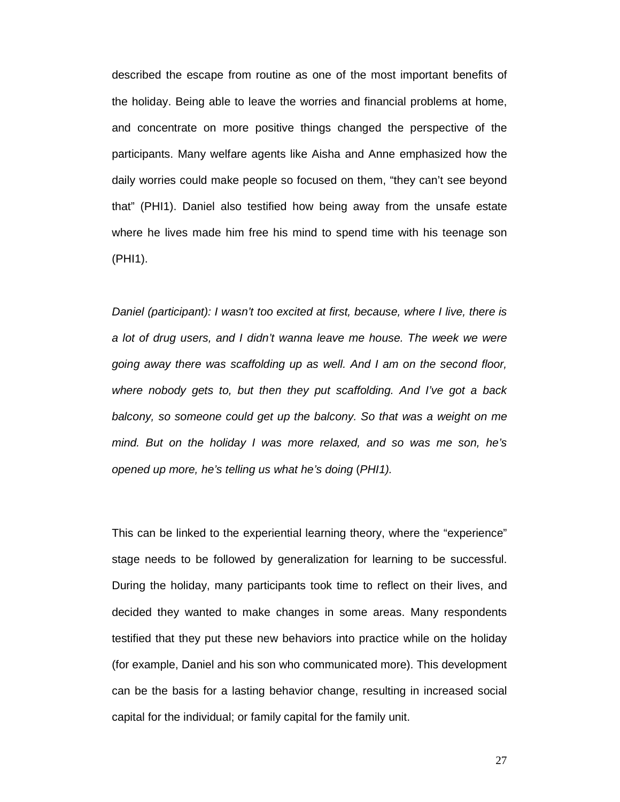described the escape from routine as one of the most important benefits of the holiday. Being able to leave the worries and financial problems at home, and concentrate on more positive things changed the perspective of the participants. Many welfare agents like Aisha and Anne emphasized how the daily worries could make people so focused on them, "they can't see beyond that" (PHI1). Daniel also testified how being away from the unsafe estate where he lives made him free his mind to spend time with his teenage son (PHI1).

Daniel (participant): I wasn't too excited at first, because, where I live, there is a lot of drug users, and I didn't wanna leave me house. The week we were going away there was scaffolding up as well. And I am on the second floor, where nobody gets to, but then they put scaffolding. And I've got a back balcony, so someone could get up the balcony. So that was a weight on me mind. But on the holiday I was more relaxed, and so was me son, he's opened up more, he's telling us what he's doing (PHI1).

This can be linked to the experiential learning theory, where the "experience" stage needs to be followed by generalization for learning to be successful. During the holiday, many participants took time to reflect on their lives, and decided they wanted to make changes in some areas. Many respondents testified that they put these new behaviors into practice while on the holiday (for example, Daniel and his son who communicated more). This development can be the basis for a lasting behavior change, resulting in increased social capital for the individual; or family capital for the family unit.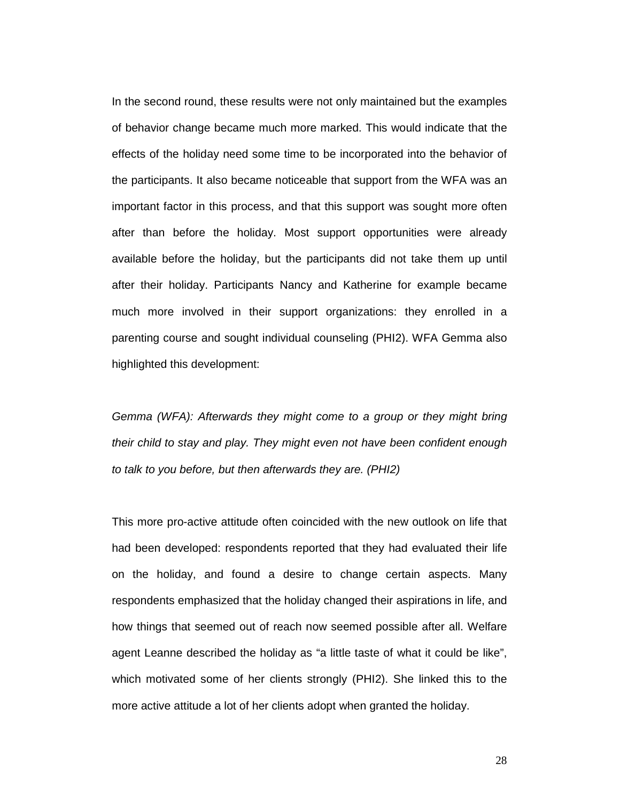In the second round, these results were not only maintained but the examples of behavior change became much more marked. This would indicate that the effects of the holiday need some time to be incorporated into the behavior of the participants. It also became noticeable that support from the WFA was an important factor in this process, and that this support was sought more often after than before the holiday. Most support opportunities were already available before the holiday, but the participants did not take them up until after their holiday. Participants Nancy and Katherine for example became much more involved in their support organizations: they enrolled in a parenting course and sought individual counseling (PHI2). WFA Gemma also highlighted this development:

Gemma (WFA): Afterwards they might come to a group or they might bring their child to stay and play. They might even not have been confident enough to talk to you before, but then afterwards they are. (PHI2)

This more pro-active attitude often coincided with the new outlook on life that had been developed: respondents reported that they had evaluated their life on the holiday, and found a desire to change certain aspects. Many respondents emphasized that the holiday changed their aspirations in life, and how things that seemed out of reach now seemed possible after all. Welfare agent Leanne described the holiday as "a little taste of what it could be like", which motivated some of her clients strongly (PHI2). She linked this to the more active attitude a lot of her clients adopt when granted the holiday.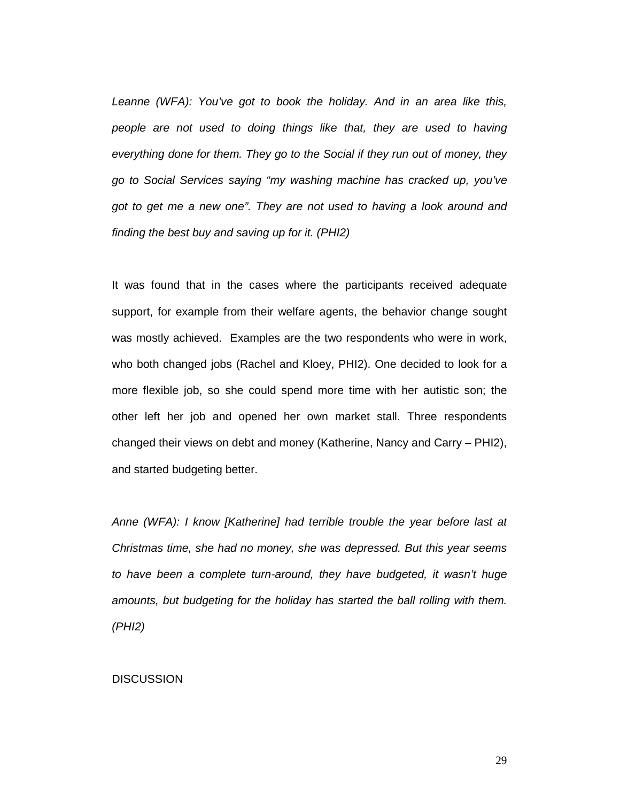Leanne (WFA): You've got to book the holiday. And in an area like this, people are not used to doing things like that, they are used to having everything done for them. They go to the Social if they run out of money, they go to Social Services saying "my washing machine has cracked up, you've got to get me a new one". They are not used to having a look around and finding the best buy and saving up for it. (PHI2)

It was found that in the cases where the participants received adequate support, for example from their welfare agents, the behavior change sought was mostly achieved. Examples are the two respondents who were in work, who both changed jobs (Rachel and Kloey, PHI2). One decided to look for a more flexible job, so she could spend more time with her autistic son; the other left her job and opened her own market stall. Three respondents changed their views on debt and money (Katherine, Nancy and Carry – PHI2), and started budgeting better.

Anne (WFA): I know [Katherine] had terrible trouble the year before last at Christmas time, she had no money, she was depressed. But this year seems to have been a complete turn-around, they have budgeted, it wasn't huge amounts, but budgeting for the holiday has started the ball rolling with them. (PHI2)

## **DISCUSSION**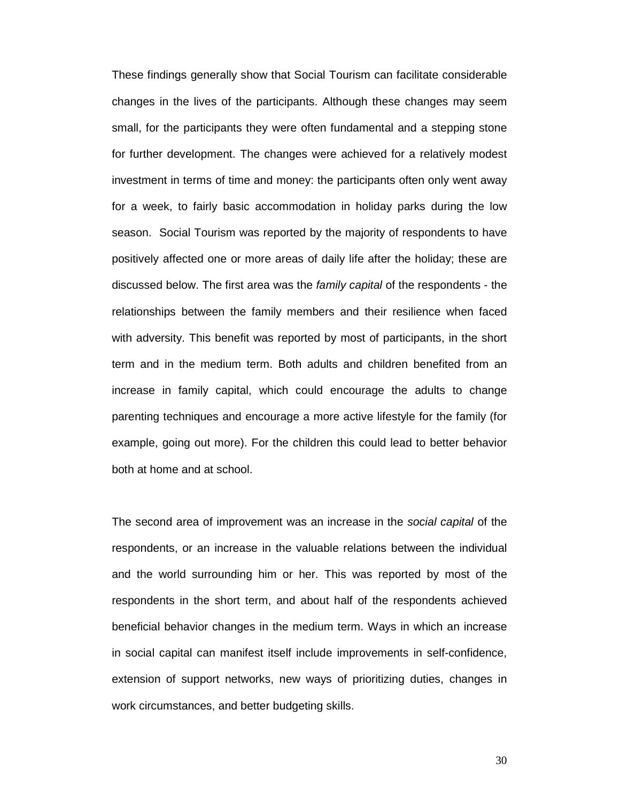These findings generally show that Social Tourism can facilitate considerable changes in the lives of the participants. Although these changes may seem small, for the participants they were often fundamental and a stepping stone for further development. The changes were achieved for a relatively modest investment in terms of time and money: the participants often only went away for a week, to fairly basic accommodation in holiday parks during the low season. Social Tourism was reported by the majority of respondents to have positively affected one or more areas of daily life after the holiday; these are discussed below. The first area was the family capital of the respondents - the relationships between the family members and their resilience when faced with adversity. This benefit was reported by most of participants, in the short term and in the medium term. Both adults and children benefited from an increase in family capital, which could encourage the adults to change parenting techniques and encourage a more active lifestyle for the family (for example, going out more). For the children this could lead to better behavior both at home and at school.

The second area of improvement was an increase in the social capital of the respondents, or an increase in the valuable relations between the individual and the world surrounding him or her. This was reported by most of the respondents in the short term, and about half of the respondents achieved beneficial behavior changes in the medium term. Ways in which an increase in social capital can manifest itself include improvements in self-confidence, extension of support networks, new ways of prioritizing duties, changes in work circumstances, and better budgeting skills.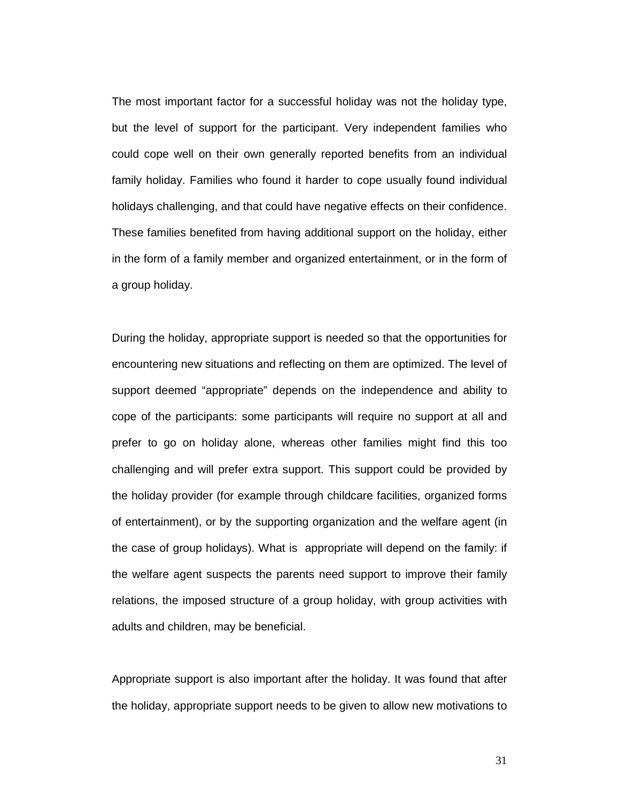The most important factor for a successful holiday was not the holiday type, but the level of support for the participant. Very independent families who could cope well on their own generally reported benefits from an individual family holiday. Families who found it harder to cope usually found individual holidays challenging, and that could have negative effects on their confidence. These families benefited from having additional support on the holiday, either in the form of a family member and organized entertainment, or in the form of a group holiday.

During the holiday, appropriate support is needed so that the opportunities for encountering new situations and reflecting on them are optimized. The level of support deemed "appropriate" depends on the independence and ability to cope of the participants: some participants will require no support at all and prefer to go on holiday alone, whereas other families might find this too challenging and will prefer extra support. This support could be provided by the holiday provider (for example through childcare facilities, organized forms of entertainment), or by the supporting organization and the welfare agent (in the case of group holidays). What is appropriate will depend on the family: if the welfare agent suspects the parents need support to improve their family relations, the imposed structure of a group holiday, with group activities with adults and children, may be beneficial.

Appropriate support is also important after the holiday. It was found that after the holiday, appropriate support needs to be given to allow new motivations to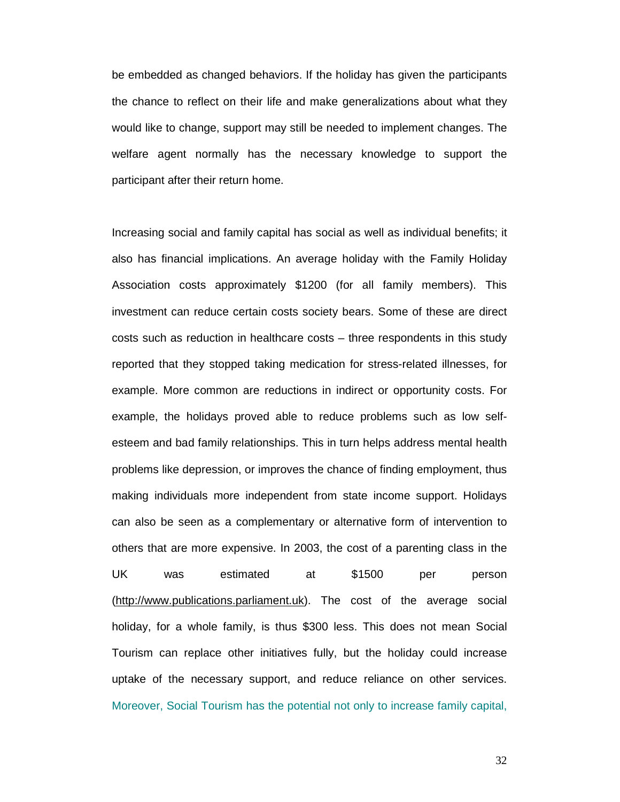be embedded as changed behaviors. If the holiday has given the participants the chance to reflect on their life and make generalizations about what they would like to change, support may still be needed to implement changes. The welfare agent normally has the necessary knowledge to support the participant after their return home.

Increasing social and family capital has social as well as individual benefits; it also has financial implications. An average holiday with the Family Holiday Association costs approximately \$1200 (for all family members). This investment can reduce certain costs society bears. Some of these are direct costs such as reduction in healthcare costs – three respondents in this study reported that they stopped taking medication for stress-related illnesses, for example. More common are reductions in indirect or opportunity costs. For example, the holidays proved able to reduce problems such as low selfesteem and bad family relationships. This in turn helps address mental health problems like depression, or improves the chance of finding employment, thus making individuals more independent from state income support. Holidays can also be seen as a complementary or alternative form of intervention to others that are more expensive. In 2003, the cost of a parenting class in the UK was estimated at \$1500 per person (http://www.publications.parliament.uk). The cost of the average social holiday, for a whole family, is thus \$300 less. This does not mean Social Tourism can replace other initiatives fully, but the holiday could increase uptake of the necessary support, and reduce reliance on other services. Moreover, Social Tourism has the potential not only to increase family capital,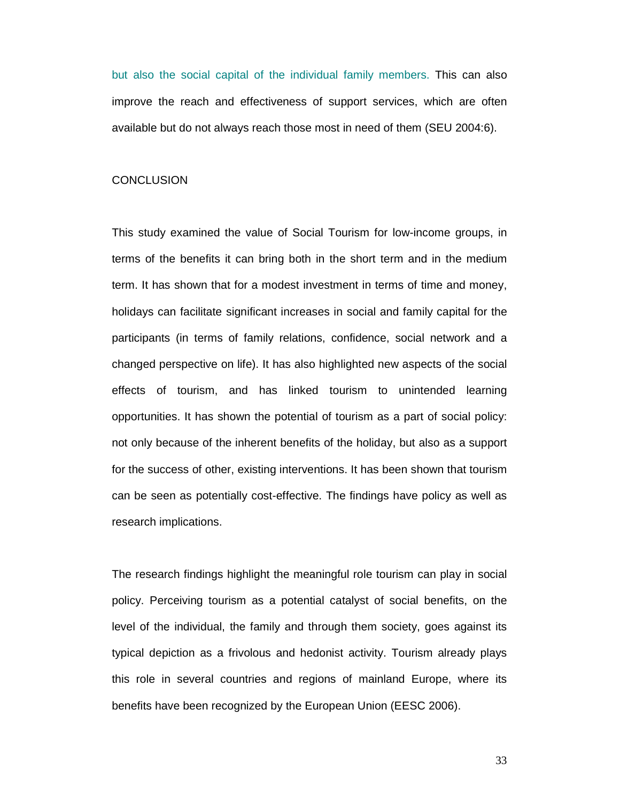but also the social capital of the individual family members. This can also improve the reach and effectiveness of support services, which are often available but do not always reach those most in need of them (SEU 2004:6).

### **CONCLUSION**

This study examined the value of Social Tourism for low-income groups, in terms of the benefits it can bring both in the short term and in the medium term. It has shown that for a modest investment in terms of time and money, holidays can facilitate significant increases in social and family capital for the participants (in terms of family relations, confidence, social network and a changed perspective on life). It has also highlighted new aspects of the social effects of tourism, and has linked tourism to unintended learning opportunities. It has shown the potential of tourism as a part of social policy: not only because of the inherent benefits of the holiday, but also as a support for the success of other, existing interventions. It has been shown that tourism can be seen as potentially cost-effective. The findings have policy as well as research implications.

The research findings highlight the meaningful role tourism can play in social policy. Perceiving tourism as a potential catalyst of social benefits, on the level of the individual, the family and through them society, goes against its typical depiction as a frivolous and hedonist activity. Tourism already plays this role in several countries and regions of mainland Europe, where its benefits have been recognized by the European Union (EESC 2006).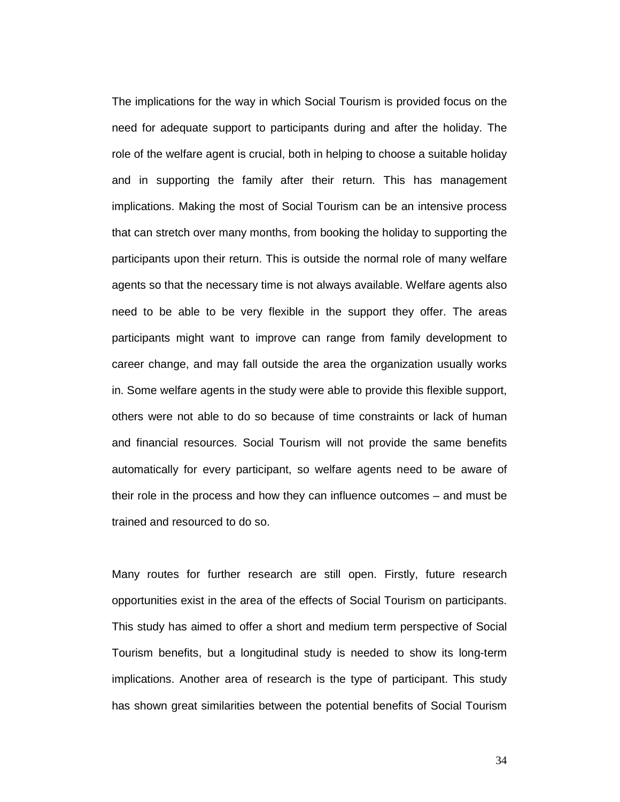The implications for the way in which Social Tourism is provided focus on the need for adequate support to participants during and after the holiday. The role of the welfare agent is crucial, both in helping to choose a suitable holiday and in supporting the family after their return. This has management implications. Making the most of Social Tourism can be an intensive process that can stretch over many months, from booking the holiday to supporting the participants upon their return. This is outside the normal role of many welfare agents so that the necessary time is not always available. Welfare agents also need to be able to be very flexible in the support they offer. The areas participants might want to improve can range from family development to career change, and may fall outside the area the organization usually works in. Some welfare agents in the study were able to provide this flexible support, others were not able to do so because of time constraints or lack of human and financial resources. Social Tourism will not provide the same benefits automatically for every participant, so welfare agents need to be aware of their role in the process and how they can influence outcomes – and must be trained and resourced to do so.

Many routes for further research are still open. Firstly, future research opportunities exist in the area of the effects of Social Tourism on participants. This study has aimed to offer a short and medium term perspective of Social Tourism benefits, but a longitudinal study is needed to show its long-term implications. Another area of research is the type of participant. This study has shown great similarities between the potential benefits of Social Tourism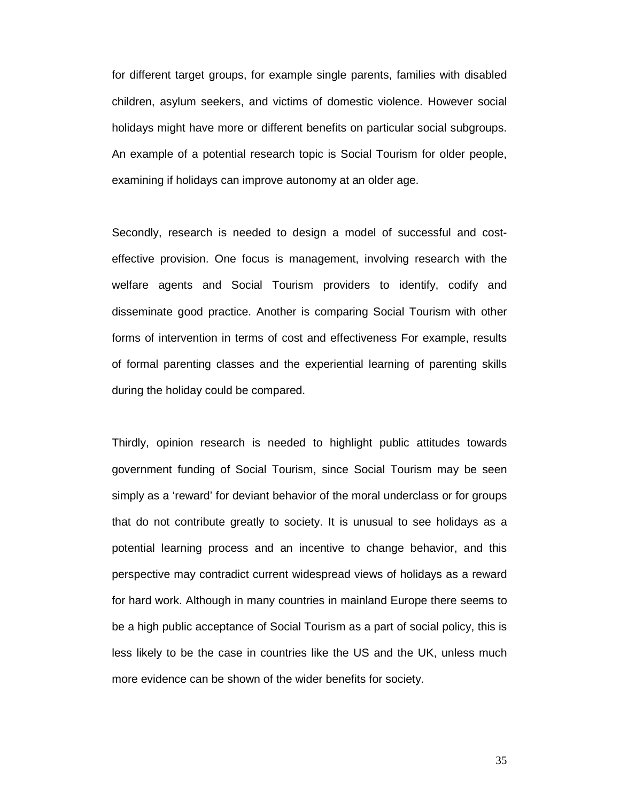for different target groups, for example single parents, families with disabled children, asylum seekers, and victims of domestic violence. However social holidays might have more or different benefits on particular social subgroups. An example of a potential research topic is Social Tourism for older people, examining if holidays can improve autonomy at an older age.

Secondly, research is needed to design a model of successful and costeffective provision. One focus is management, involving research with the welfare agents and Social Tourism providers to identify, codify and disseminate good practice. Another is comparing Social Tourism with other forms of intervention in terms of cost and effectiveness For example, results of formal parenting classes and the experiential learning of parenting skills during the holiday could be compared.

Thirdly, opinion research is needed to highlight public attitudes towards government funding of Social Tourism, since Social Tourism may be seen simply as a 'reward' for deviant behavior of the moral underclass or for groups that do not contribute greatly to society. It is unusual to see holidays as a potential learning process and an incentive to change behavior, and this perspective may contradict current widespread views of holidays as a reward for hard work. Although in many countries in mainland Europe there seems to be a high public acceptance of Social Tourism as a part of social policy, this is less likely to be the case in countries like the US and the UK, unless much more evidence can be shown of the wider benefits for society.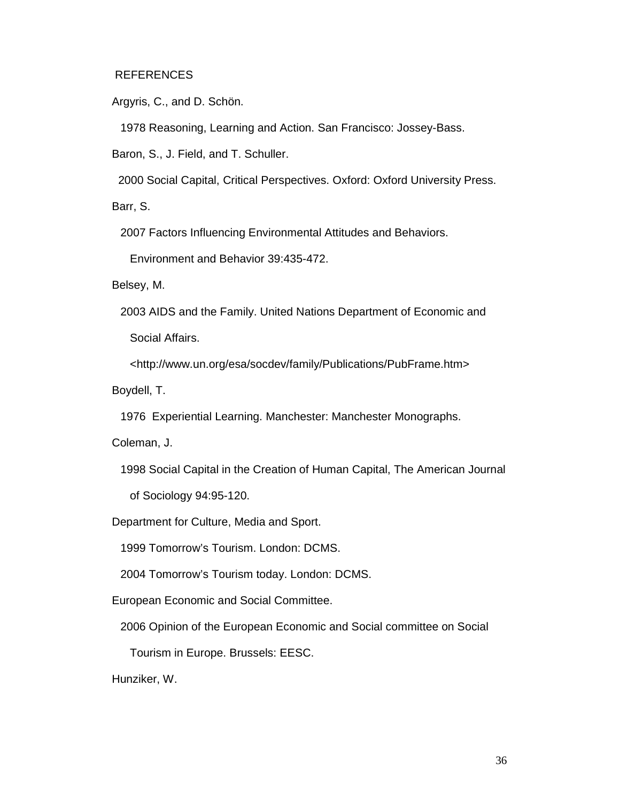# REFERENCES

Argyris, C., and D. Schön.

1978 Reasoning, Learning and Action. San Francisco: Jossey-Bass.

Baron, S., J. Field, and T. Schuller.

2000 Social Capital, Critical Perspectives. Oxford: Oxford University Press.

Barr, S.

2007 Factors Influencing Environmental Attitudes and Behaviors.

Environment and Behavior 39:435-472.

Belsey, M.

2003 AIDS and the Family. United Nations Department of Economic and Social Affairs.

<http://www.un.org/esa/socdev/family/Publications/PubFrame.htm>

Boydell, T.

1976 Experiential Learning. Manchester: Manchester Monographs.

Coleman, J.

1998 Social Capital in the Creation of Human Capital, The American Journal

of Sociology 94:95-120.

Department for Culture, Media and Sport.

1999 Tomorrow's Tourism. London: DCMS.

2004 Tomorrow's Tourism today. London: DCMS.

European Economic and Social Committee.

2006 Opinion of the European Economic and Social committee on Social

Tourism in Europe. Brussels: EESC.

Hunziker, W.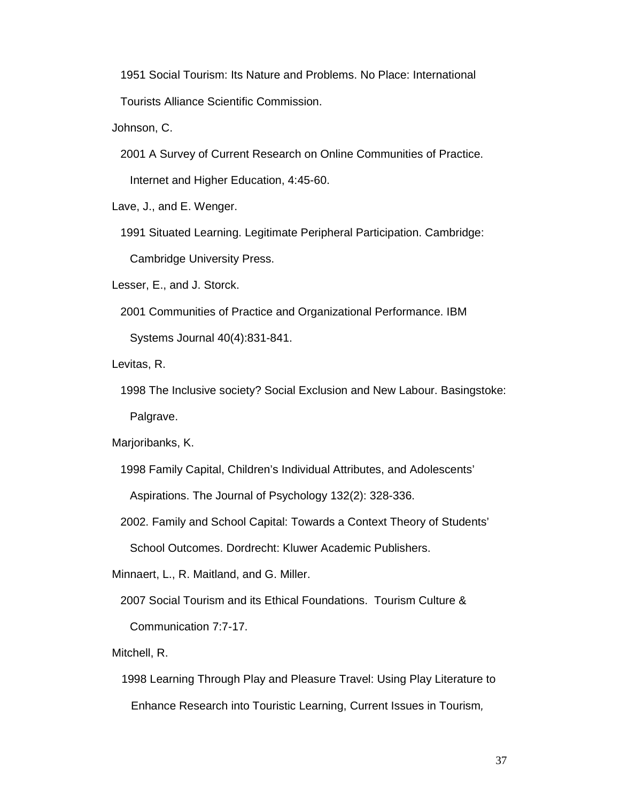1951 Social Tourism: Its Nature and Problems. No Place: International

Tourists Alliance Scientific Commission.

Johnson, C.

2001 A Survey of Current Research on Online Communities of Practice.

Internet and Higher Education, 4:45-60.

Lave, J., and E. Wenger.

1991 Situated Learning. Legitimate Peripheral Participation. Cambridge:

Cambridge University Press.

Lesser, E., and J. Storck.

2001 Communities of Practice and Organizational Performance. IBM

Systems Journal 40(4):831-841.

Levitas, R.

1998 The Inclusive society? Social Exclusion and New Labour. Basingstoke:

Palgrave.

Marjoribanks, K.

1998 Family Capital, Children's Individual Attributes, and Adolescents'

Aspirations. The Journal of Psychology 132(2): 328-336.

2002. Family and School Capital: Towards a Context Theory of Students'

School Outcomes. Dordrecht: Kluwer Academic Publishers.

Minnaert, L., R. Maitland, and G. Miller.

2007 Social Tourism and its Ethical Foundations. Tourism Culture &

Communication 7:7-17.

Mitchell, R.

 1998 Learning Through Play and Pleasure Travel: Using Play Literature to Enhance Research into Touristic Learning, Current Issues in Tourism,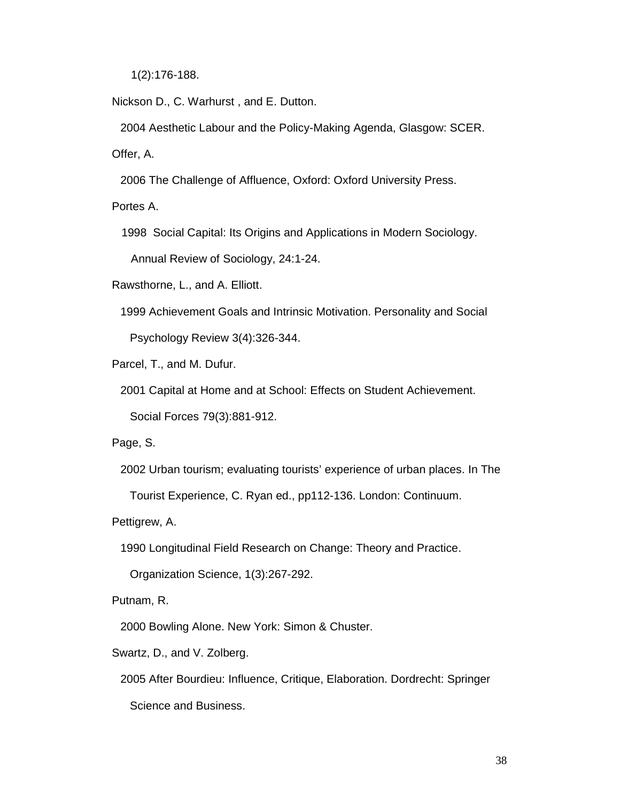1(2):176-188.

Nickson D., C. Warhurst , and E. Dutton.

2004 Aesthetic Labour and the Policy-Making Agenda, Glasgow: SCER.

Offer, A.

2006 The Challenge of Affluence, Oxford: Oxford University Press.

Portes A.

1998 Social Capital: Its Origins and Applications in Modern Sociology.

Annual Review of Sociology, 24:1-24.

Rawsthorne, L., and A. Elliott.

1999 Achievement Goals and Intrinsic Motivation. Personality and Social Psychology Review 3(4):326-344.

Parcel, T., and M. Dufur.

2001 Capital at Home and at School: Effects on Student Achievement.

Social Forces 79(3):881-912.

Page, S.

2002 Urban tourism; evaluating tourists' experience of urban places. In The

Tourist Experience, C. Ryan ed., pp112-136. London: Continuum.

Pettigrew, A.

1990 Longitudinal Field Research on Change: Theory and Practice.

Organization Science, 1(3):267-292.

Putnam, R.

2000 Bowling Alone. New York: Simon & Chuster.

Swartz, D., and V. Zolberg.

2005 After Bourdieu: Influence, Critique, Elaboration. Dordrecht: Springer Science and Business.